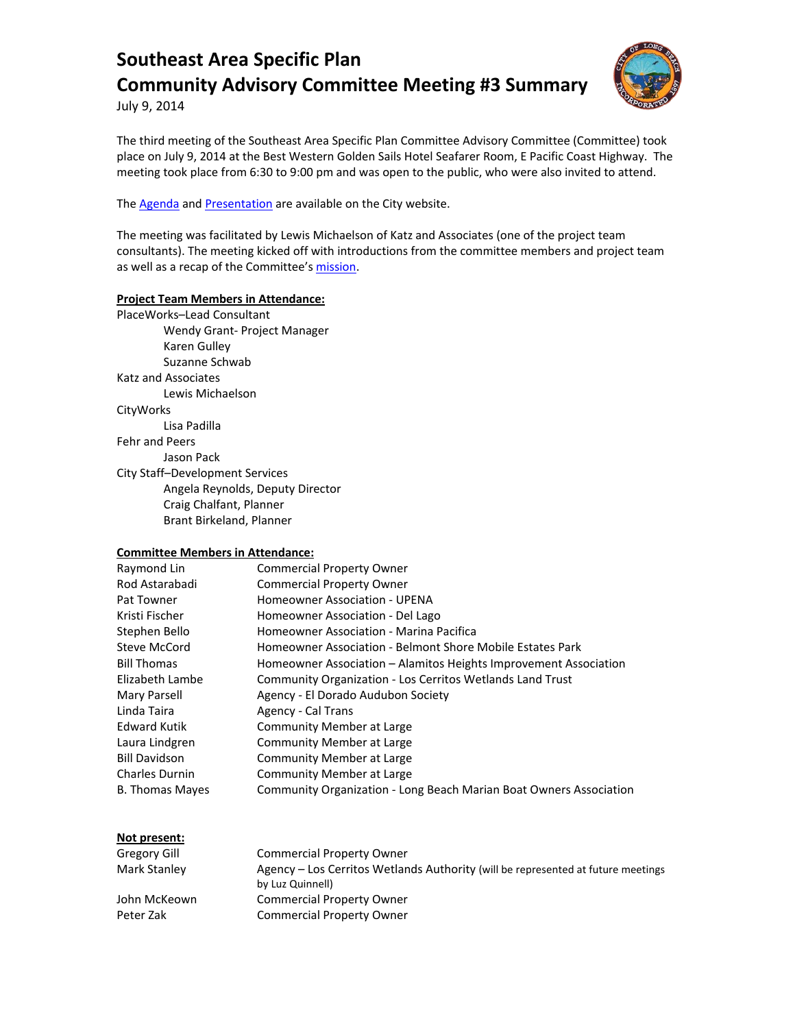

July 9, 2014

The third meeting of the Southeast Area Specific Plan Committee Advisory Committee (Committee) took place on July 9, 2014 at the Best Western Golden Sails Hotel Seafarer Room, E Pacific Coast Highway. The meeting took place from 6:30 to 9:00 pm and was open to the public, who were also invited to attend.

The **Agenda** and **Presentation** are available on the City website.

The meeting was facilitated by Lewis Michaelson of Katz and Associates (one of the project team consultants). The meeting kicked off with introductions from the committee members and project team as well as a recap of the Committee'[s mission.](http://www.lbds.info/seadip_update/community_advisory_committee.asp)

#### **Project Team Members in Attendance:**

PlaceWorks–Lead Consultant Wendy Grant- Project Manager Karen Gulley Suzanne Schwab Katz and Associates Lewis Michaelson **CityWorks** Lisa Padilla Fehr and Peers Jason Pack City Staff–Development Services Angela Reynolds, Deputy Director Craig Chalfant, Planner Brant Birkeland, Planner

#### **Committee Members in Attendance:**

| Raymond Lin          | <b>Commercial Property Owner</b>                                   |
|----------------------|--------------------------------------------------------------------|
| Rod Astarabadi       | <b>Commercial Property Owner</b>                                   |
| Pat Towner           | Homeowner Association - UPENA                                      |
| Kristi Fischer       | Homeowner Association - Del Lago                                   |
| Stephen Bello        | Homeowner Association - Marina Pacifica                            |
| Steve McCord         | Homeowner Association - Belmont Shore Mobile Estates Park          |
| <b>Bill Thomas</b>   | Homeowner Association – Alamitos Heights Improvement Association   |
| Elizabeth Lambe      | <b>Community Organization - Los Cerritos Wetlands Land Trust</b>   |
| Mary Parsell         | Agency - El Dorado Audubon Society                                 |
| Linda Taira          | Agency - Cal Trans                                                 |
| Edward Kutik         | Community Member at Large                                          |
| Laura Lindgren       | Community Member at Large                                          |
| <b>Bill Davidson</b> | Community Member at Large                                          |
| Charles Durnin       | Community Member at Large                                          |
| B. Thomas Mayes      | Community Organization - Long Beach Marian Boat Owners Association |
|                      |                                                                    |

#### **Not present:**

| Gregory Gill | <b>Commercial Property Owner</b>                                                 |
|--------------|----------------------------------------------------------------------------------|
| Mark Stanley | Agency – Los Cerritos Wetlands Authority (will be represented at future meetings |
|              | by Luz Quinnell)                                                                 |
| John McKeown | <b>Commercial Property Owner</b>                                                 |
| Peter Zak    | <b>Commercial Property Owner</b>                                                 |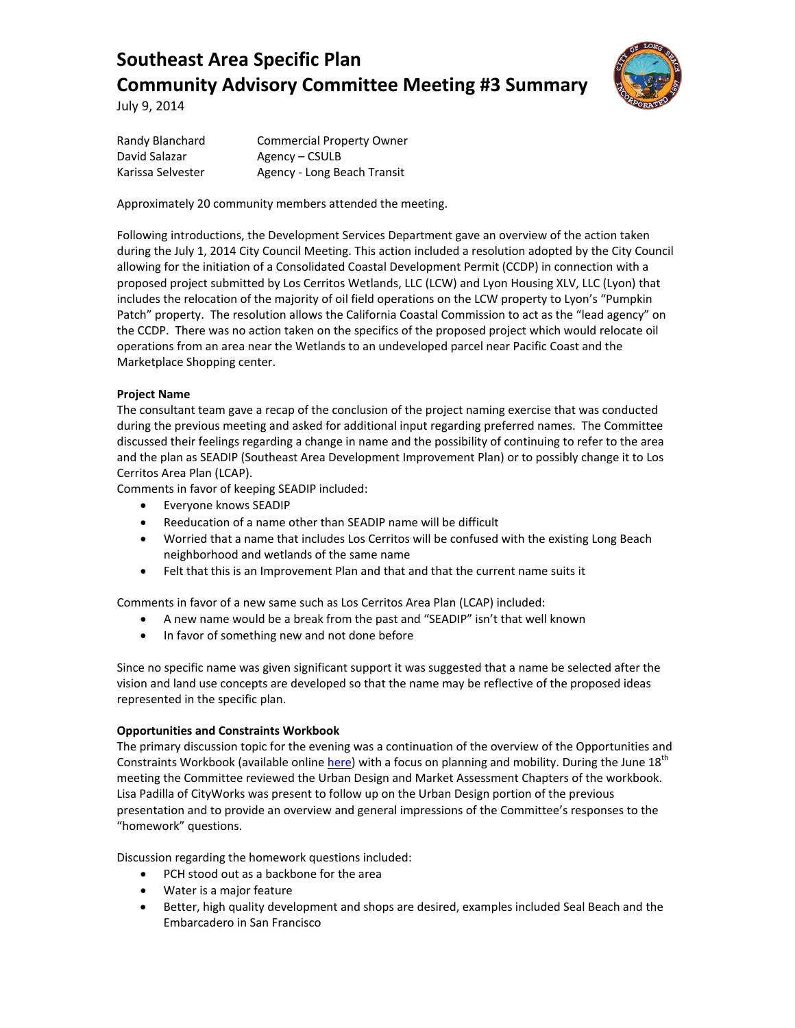

July 9, 2014

Randy Blanchard Commercial Property Owner David Salazar **Agency – CSULB** Karissa Selvester Agency - Long Beach Transit

Approximately 20 community members attended the meeting.

Following introductions, the Development Services Department gave an overview of the action taken during the July 1, 2014 City Council Meeting. This action included a resolution adopted by the City Council allowing for the initiation of a Consolidated Coastal Development Permit (CCDP) in connection with a proposed project submitted by Los Cerritos Wetlands, LLC (LCW) and Lyon Housing XLV, LLC (Lyon) that includes the relocation of the majority of oil field operations on the LCW property to Lyon's "Pumpkin Patch" property. The resolution allows the California Coastal Commission to act as the "lead agency" on the CCDP. There was no action taken on the specifics of the proposed project which would relocate oil operations from an area near the Wetlands to an undeveloped parcel near Pacific Coast and the Marketplace Shopping center.

#### **Project Name**

The consultant team gave a recap of the conclusion of the project naming exercise that was conducted during the previous meeting and asked for additional input regarding preferred names. The Committee discussed their feelings regarding a change in name and the possibility of continuing to refer to the area and the plan as SEADIP (Southeast Area Development Improvement Plan) or to possibly change it to Los Cerritos Area Plan (LCAP).

Comments in favor of keeping SEADIP included:

- Everyone knows SEADIP
- Reeducation of a name other than SEADIP name will be difficult
- Worried that a name that includes Los Cerritos will be confused with the existing Long Beach neighborhood and wetlands of the same name
- Felt that this is an Improvement Plan and that and that the current name suits it

Comments in favor of a new same such as Los Cerritos Area Plan (LCAP) included:

- A new name would be a break from the past and "SEADIP" isn't that well known
- In favor of something new and not done before

Since no specific name was given significant support it was suggested that a name be selected after the vision and land use concepts are developed so that the name may be reflective of the proposed ideas represented in the specific plan.

#### **Opportunities and Constraints Workbook**

The primary discussion topic for the evening was a continuation of the overview of the Opportunities and Constraints Workbook (available onlin[e here\)](http://www.lbds.info/civica/filebank/blobdload.asp?BlobID=4291) with a focus on planning and mobility. During the June 18<sup>th</sup> meeting the Committee reviewed the Urban Design and Market Assessment Chapters of the workbook. Lisa Padilla of CityWorks was present to follow up on the Urban Design portion of the previous presentation and to provide an overview and general impressions of the Committee's responses to the "homework" questions.

Discussion regarding the homework questions included:

- PCH stood out as a backbone for the area
- Water is a major feature
- Better, high quality development and shops are desired, examples included Seal Beach and the Embarcadero in San Francisco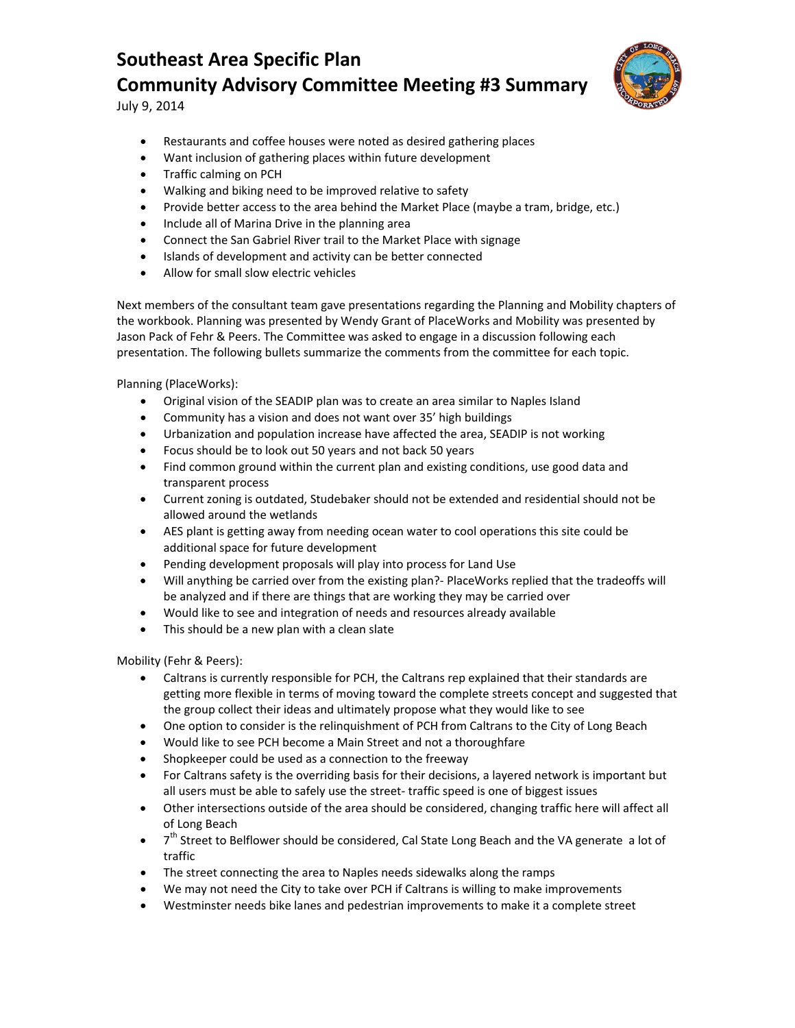

July 9, 2014

- Restaurants and coffee houses were noted as desired gathering places
- Want inclusion of gathering places within future development
- Traffic calming on PCH
- Walking and biking need to be improved relative to safety
- Provide better access to the area behind the Market Place (maybe a tram, bridge, etc.)
- Include all of Marina Drive in the planning area
- Connect the San Gabriel River trail to the Market Place with signage
- Islands of development and activity can be better connected
- Allow for small slow electric vehicles

Next members of the consultant team gave presentations regarding the Planning and Mobility chapters of the workbook. Planning was presented by Wendy Grant of PlaceWorks and Mobility was presented by Jason Pack of Fehr & Peers. The Committee was asked to engage in a discussion following each presentation. The following bullets summarize the comments from the committee for each topic.

Planning (PlaceWorks):

- Original vision of the SEADIP plan was to create an area similar to Naples Island
- Community has a vision and does not want over 35' high buildings
- Urbanization and population increase have affected the area, SEADIP is not working
- Focus should be to look out 50 years and not back 50 years
- Find common ground within the current plan and existing conditions, use good data and transparent process
- Current zoning is outdated, Studebaker should not be extended and residential should not be allowed around the wetlands
- AES plant is getting away from needing ocean water to cool operations this site could be additional space for future development
- Pending development proposals will play into process for Land Use
- Will anything be carried over from the existing plan?- PlaceWorks replied that the tradeoffs will be analyzed and if there are things that are working they may be carried over
- Would like to see and integration of needs and resources already available
- This should be a new plan with a clean slate

Mobility (Fehr & Peers):

- Caltrans is currently responsible for PCH, the Caltrans rep explained that their standards are getting more flexible in terms of moving toward the complete streets concept and suggested that the group collect their ideas and ultimately propose what they would like to see
- One option to consider is the relinquishment of PCH from Caltrans to the City of Long Beach
- Would like to see PCH become a Main Street and not a thoroughfare
- Shopkeeper could be used as a connection to the freeway
- For Caltrans safety is the overriding basis for their decisions, a layered network is important but all users must be able to safely use the street- traffic speed is one of biggest issues
- Other intersections outside of the area should be considered, changing traffic here will affect all of Long Beach
- 7<sup>th</sup> Street to Belflower should be considered, Cal State Long Beach and the VA generate a lot of traffic
- The street connecting the area to Naples needs sidewalks along the ramps
- We may not need the City to take over PCH if Caltrans is willing to make improvements
- Westminster needs bike lanes and pedestrian improvements to make it a complete street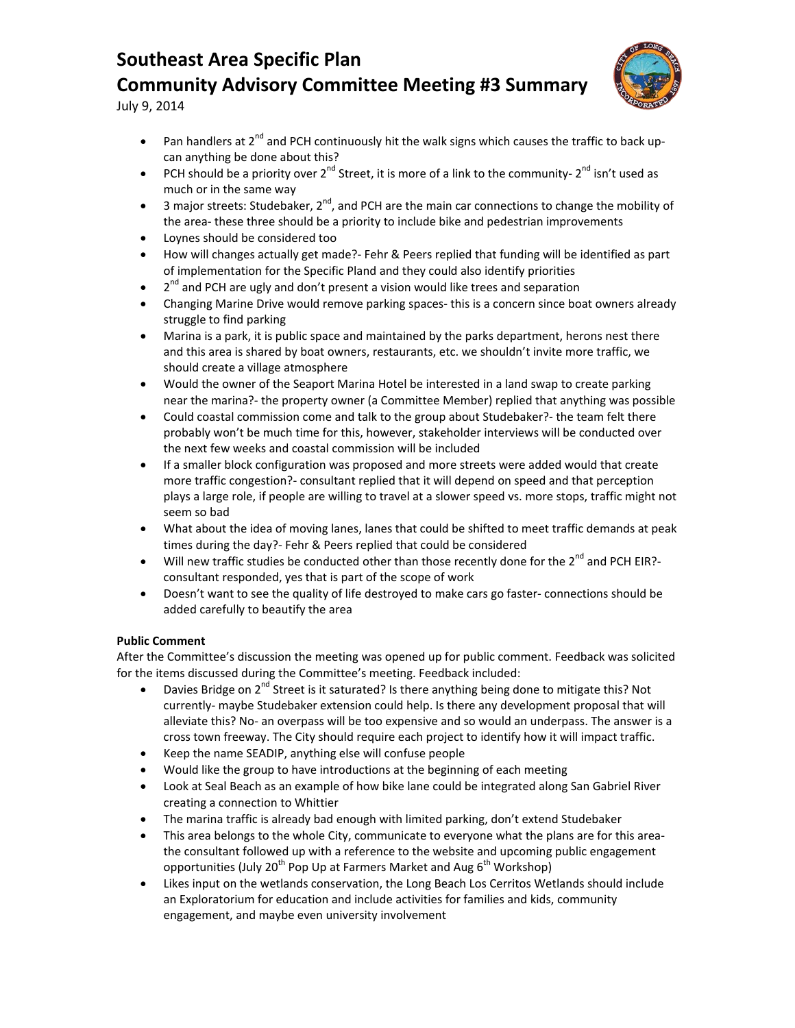

July 9, 2014

- Pan handlers at  $2^{nd}$  and PCH continuously hit the walk signs which causes the traffic to back upcan anything be done about this?
- PCH should be a priority over 2<sup>nd</sup> Street, it is more of a link to the community- 2<sup>nd</sup> isn't used as much or in the same way
- 3 major streets: Studebaker,  $2^{nd}$ , and PCH are the main car connections to change the mobility of the area- these three should be a priority to include bike and pedestrian improvements
- Loynes should be considered too
- How will changes actually get made?- Fehr & Peers replied that funding will be identified as part of implementation for the Specific Pland and they could also identify priorities
- $\bullet$  2<sup>nd</sup> and PCH are ugly and don't present a vision would like trees and separation
- Changing Marine Drive would remove parking spaces- this is a concern since boat owners already struggle to find parking
- Marina is a park, it is public space and maintained by the parks department, herons nest there and this area is shared by boat owners, restaurants, etc. we shouldn't invite more traffic, we should create a village atmosphere
- Would the owner of the Seaport Marina Hotel be interested in a land swap to create parking near the marina?- the property owner (a Committee Member) replied that anything was possible
- Could coastal commission come and talk to the group about Studebaker?- the team felt there probably won't be much time for this, however, stakeholder interviews will be conducted over the next few weeks and coastal commission will be included
- If a smaller block configuration was proposed and more streets were added would that create more traffic congestion?- consultant replied that it will depend on speed and that perception plays a large role, if people are willing to travel at a slower speed vs. more stops, traffic might not seem so bad
- What about the idea of moving lanes, lanes that could be shifted to meet traffic demands at peak times during the day?- Fehr & Peers replied that could be considered
- Will new traffic studies be conducted other than those recently done for the  $2^{nd}$  and PCH EIR?consultant responded, yes that is part of the scope of work
- Doesn't want to see the quality of life destroyed to make cars go faster- connections should be added carefully to beautify the area

### **Public Comment**

After the Committee's discussion the meeting was opened up for public comment. Feedback was solicited for the items discussed during the Committee's meeting. Feedback included:

- Davies Bridge on  $2^{nd}$  Street is it saturated? Is there anything being done to mitigate this? Not currently- maybe Studebaker extension could help. Is there any development proposal that will alleviate this? No- an overpass will be too expensive and so would an underpass. The answer is a cross town freeway. The City should require each project to identify how it will impact traffic.
- Keep the name SEADIP, anything else will confuse people
- Would like the group to have introductions at the beginning of each meeting
- Look at Seal Beach as an example of how bike lane could be integrated along San Gabriel River creating a connection to Whittier
- The marina traffic is already bad enough with limited parking, don't extend Studebaker
- This area belongs to the whole City, communicate to everyone what the plans are for this areathe consultant followed up with a reference to the website and upcoming public engagement opportunities (July 20<sup>th</sup> Pop Up at Farmers Market and Aug  $6<sup>th</sup>$  Workshop)
- Likes input on the wetlands conservation, the Long Beach Los Cerritos Wetlands should include an Exploratorium for education and include activities for families and kids, community engagement, and maybe even university involvement